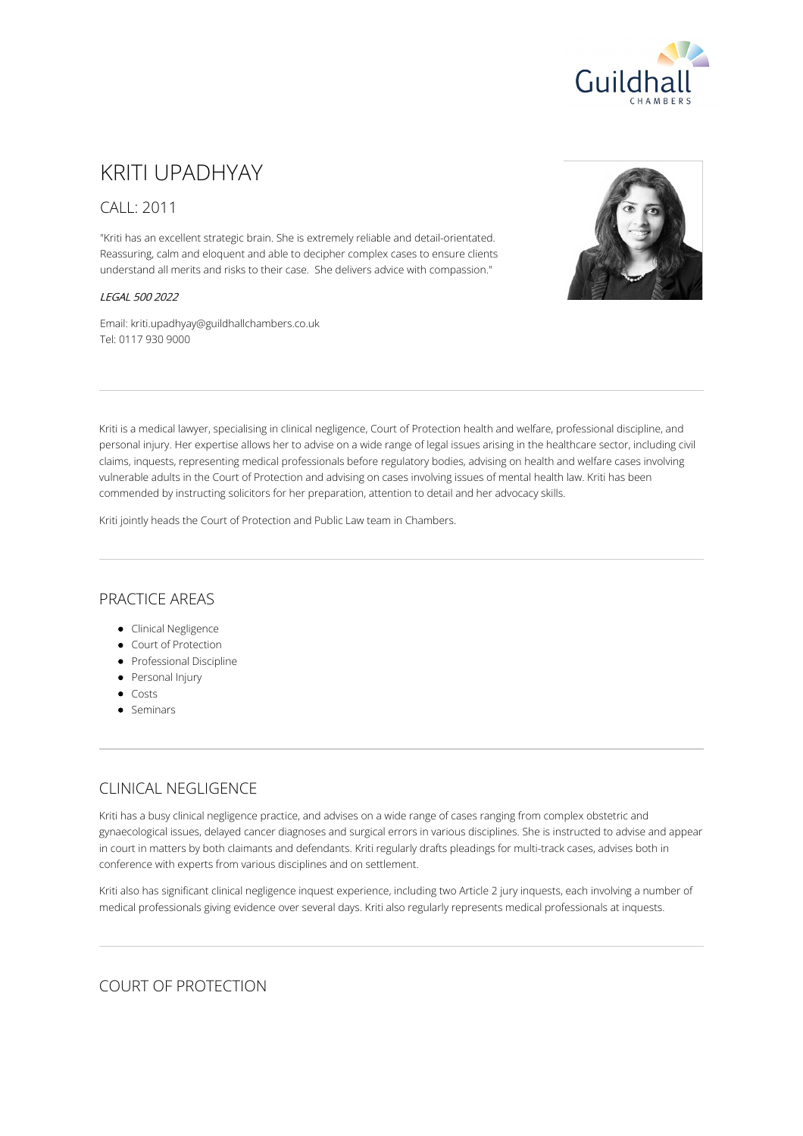

# KRITI UPADHYAY

## CALL: 2011

"Kriti has an excellent strategic brain. She is extremely reliable and detail-orientated. Reassuring, calm and eloquent and able to decipher complex cases to ensure clients understand all merits and risks to their case. She delivers advice with compassion."

#### LEGAL 500 2022

Email: kriti.upadhyay@guildhallchambers.co.uk Tel: 0117 930 9000



Kriti is a medical lawyer, specialising in clinical negligence, Court of Protection health and welfare, professional discipline, and personal injury. Her expertise allows her to advise on a wide range of legal issues arising in the healthcare sector, including civil claims, inquests, representing medical professionals before regulatory bodies, advising on health and welfare cases involving vulnerable adults in the Court of Protection and advising on cases involving issues of mental health law. Kriti has been commended by instructing solicitors for her preparation, attention to detail and her advocacy skills.

Kriti jointly heads the Court of Protection and Public Law team in Chambers.

## PRACTICE AREAS

- **•** Clinical Negligence
- Court of Protection
- **•** Professional Discipline
- Personal Injury
- Costs
- Seminars

# CLINICAL NEGLIGENCE

Kriti has a busy clinical negligence practice, and advises on a wide range of cases ranging from complex obstetric and gynaecological issues, delayed cancer diagnoses and surgical errors in various disciplines. She is instructed to advise and appear in court in matters by both claimants and defendants. Kriti regularly drafts pleadings for multi-track cases, advises both in conference with experts from various disciplines and on settlement.

Kriti also has significant clinical negligence inquest experience, including two Article 2 jury inquests, each involving a number of medical professionals giving evidence over several days. Kriti also regularly represents medical professionals at inquests.

## COURT OF PROTECTION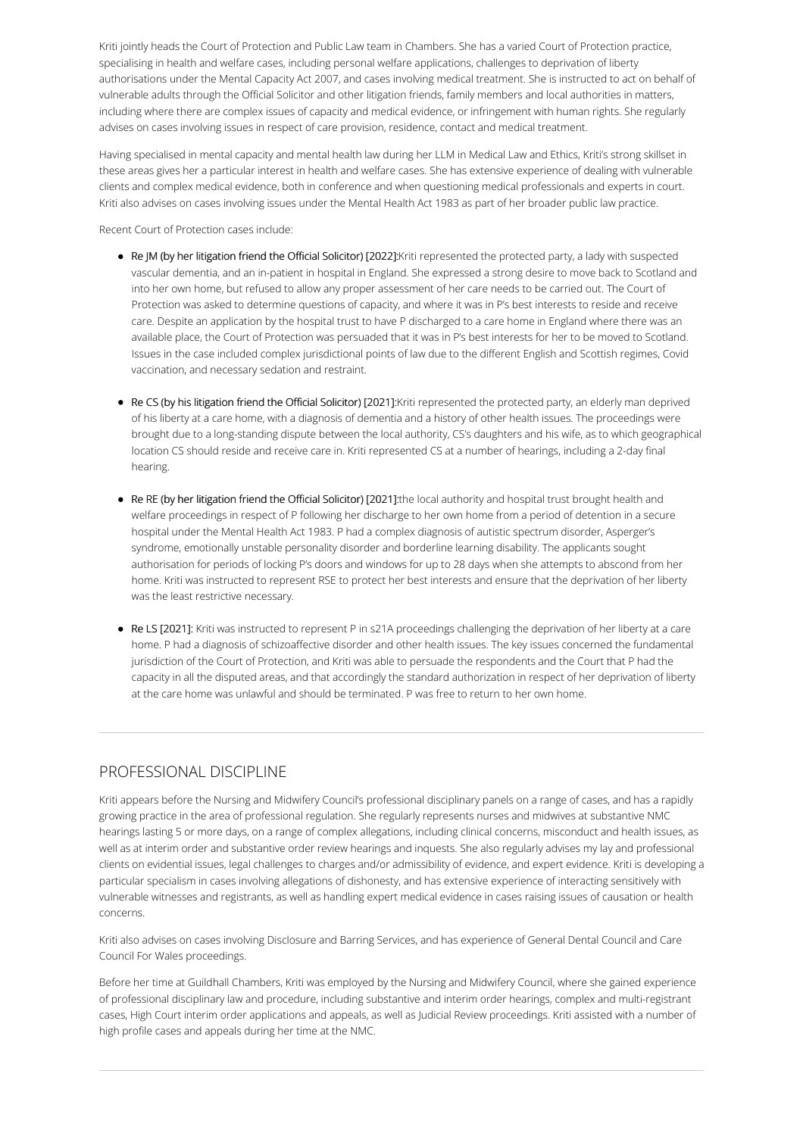Kriti jointly heads the Court of Protection and Public Law team in Chambers. She has a varied Court of Protection practice, specialising in health and welfare cases, including personal welfare applications, challenges to deprivation of liberty authorisations under the Mental Capacity Act 2007, and cases involving medical treatment. She is instructed to act on behalf of vulnerable adults through the Official Solicitor and other litigation friends, family members and local authorities in matters, including where there are complex issues of capacity and medical evidence, or infringement with human rights. She regularly advises on cases involving issues in respect of care provision, residence, contact and medical treatment.

Having specialised in mental capacity and mental health law during her LLM in Medical Law and Ethics, Kriti's strong skillset in these areas gives her a particular interest in health and welfare cases. She has extensive experience of dealing with vulnerable clients and complex medical evidence, both in conference and when questioning medical professionals and experts in court. Kriti also advises on cases involving issues under the Mental Health Act 1983 as part of her broader public law practice.

Recent Court of Protection cases include:

- Re JM (by her litigation friend the Official Solicitor) [2022]:Kriti represented the protected party, a lady with suspected vascular dementia, and an in-patient in hospital in England. She expressed a strong desire to move back to Scotland and into her own home, but refused to allow any proper assessment of her care needs to be carried out. The Court of Protection was asked to determine questions of capacity, and where it was in P's best interests to reside and receive care. Despite an application by the hospital trust to have P discharged to a care home in England where there was an available place, the Court of Protection was persuaded that it was in P's best interests for her to be moved to Scotland. Issues in the case included complex jurisdictional points of law due to the different English and Scottish regimes, Covid vaccination, and necessary sedation and restraint.
- Re CS (by his litigation friend the Official Solicitor) [2021]:Kriti represented the protected party, an elderly man deprived of his liberty at a care home, with a diagnosis of dementia and a history of other health issues. The proceedings were brought due to a long-standing dispute between the local authority, CS's daughters and his wife, as to which geographical location CS should reside and receive care in. Kriti represented CS at a number of hearings, including a 2-day final hearing.
- Re RE (by her litigation friend the Official Solicitor) [2021]:the local authority and hospital trust brought health and welfare proceedings in respect of P following her discharge to her own home from a period of detention in a secure hospital under the Mental Health Act 1983. P had a complex diagnosis of autistic spectrum disorder, Asperger's syndrome, emotionally unstable personality disorder and borderline learning disability. The applicants sought authorisation for periods of locking P's doors and windows for up to 28 days when she attempts to abscond from her home. Kriti was instructed to represent RSE to protect her best interests and ensure that the deprivation of her liberty was the least restrictive necessary.
- Re LS [2021]: Kriti was instructed to represent P in s21A proceedings challenging the deprivation of her liberty at a care home. P had a diagnosis of schizoaffective disorder and other health issues. The key issues concerned the fundamental jurisdiction of the Court of Protection, and Kriti was able to persuade the respondents and the Court that P had the capacity in all the disputed areas, and that accordingly the standard authorization in respect of her deprivation of liberty at the care home was unlawful and should be terminated. P was free to return to her own home.

# PROFESSIONAL DISCIPLINE

Kriti appears before the Nursing and Midwifery Council's professional disciplinary panels on a range of cases, and has a rapidly growing practice in the area of professional regulation. She regularly represents nurses and midwives at substantive NMC hearings lasting 5 or more days, on a range of complex allegations, including clinical concerns, misconduct and health issues, as well as at interim order and substantive order review hearings and inquests. She also regularly advises my lay and professional clients on evidential issues, legal challenges to charges and/or admissibility of evidence, and expert evidence. Kriti is developing a particular specialism in cases involving allegations of dishonesty, and has extensive experience of interacting sensitively with vulnerable witnesses and registrants, as well as handling expert medical evidence in cases raising issues of causation or health concerns.

Kriti also advises on cases involving Disclosure and Barring Services, and has experience of General Dental Council and Care Council For Wales proceedings.

Before her time at Guildhall Chambers, Kriti was employed by the Nursing and Midwifery Council, where she gained experience of professional disciplinary law and procedure, including substantive and interim order hearings, complex and multi-registrant cases, High Court interim order applications and appeals, as well as Judicial Review proceedings. Kriti assisted with a number of high profile cases and appeals during her time at the NMC.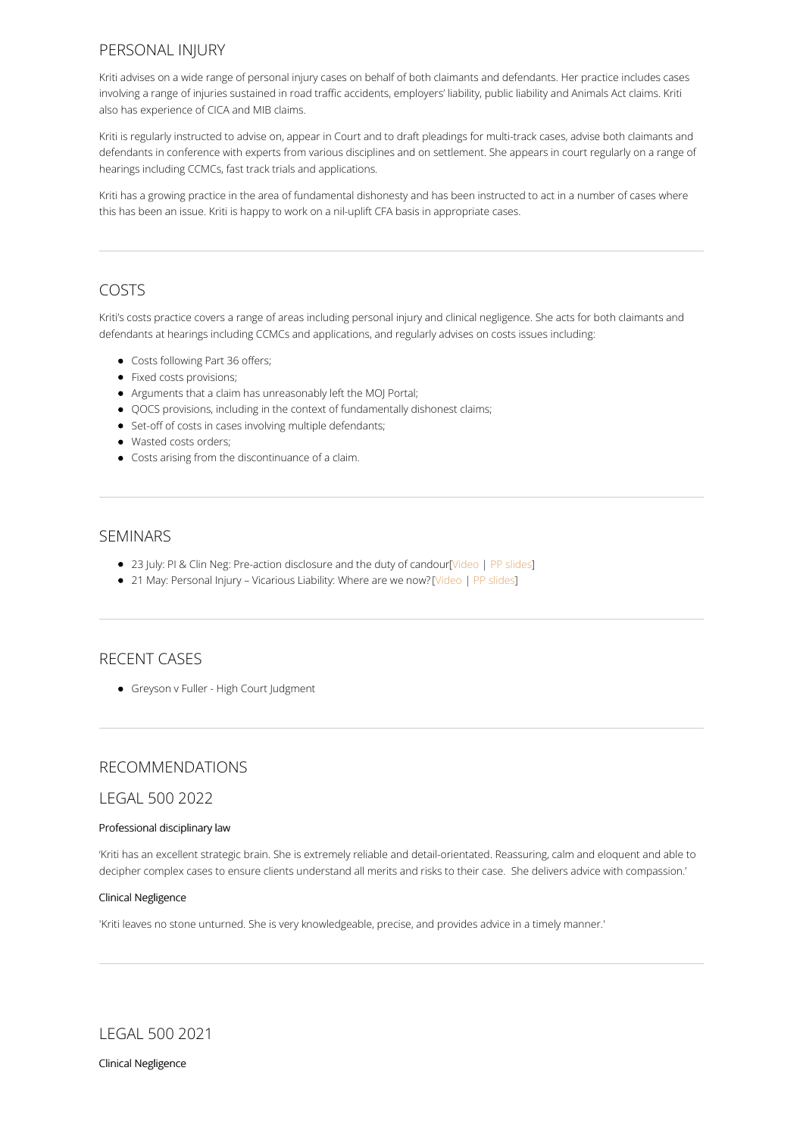## PERSONAL INJURY

Kriti advises on a wide range of personal injury cases on behalf of both claimants and defendants. Her practice includes cases involving a range of injuries sustained in road traffic accidents, employers' liability, public liability and Animals Act claims. Kriti also has experience of CICA and MIB claims.

Kriti is regularly instructed to advise on, appear in Court and to draft pleadings for multi-track cases, advise both claimants and defendants in conference with experts from various disciplines and on settlement. She appears in court regularly on a range of hearings including CCMCs, fast track trials and applications.

Kriti has a growing practice in the area of fundamental dishonesty and has been instructed to act in a number of cases where this has been an issue. Kriti is happy to work on a nil-uplift CFA basis in appropriate cases.

## COSTS

Kriti's costs practice covers a range of areas including personal injury and clinical negligence. She acts for both claimants and defendants at hearings including CCMCs and applications, and regularly advises on costs issues including:

- Costs following Part 36 offers;
- Fixed costs provisions;
- Arguments that a claim has unreasonably left the MOJ Portal;
- QOCS provisions, including in the context of fundamentally dishonest claims;
- Set-off of costs in cases involving multiple defendants;
- Wasted costs orders;
- Costs arising from the discontinuance of a claim.

### SEMINARS

- 23 July: PI & Clin Neg: Pre-action disclosure and the duty of candour[\[Video](https://youtu.be/Kz1wfNIqDtI) | PP [slides](https://www.guildhallchambers.co.uk/uploadedFiles/PreAction_Disclosure_Duty_of_Candour.pdf)]
- 21 May: Personal Injury Vicarious Liability: Where are we now? [\[Video](https://youtu.be/NuUxFvAO1nE) | PP [slides](https://www.guildhallchambers.co.uk/uploadedFiles/Vicarious_Liability_May2020.pdf)]

#### RECENT CASES

**•** Greyson v Fuller - High Court Judgment

## RECOMMENDATIONS

#### LEGAL 500 2022

#### Professional disciplinary law

'Kriti has an excellent strategic brain. She is extremely reliable and detail-orientated. Reassuring, calm and eloquent and able to decipher complex cases to ensure clients understand all merits and risks to their case. She delivers advice with compassion.'

#### Clinical Negligence

'Kriti leaves no stone unturned. She is very knowledgeable, precise, and provides advice in a timely manner.'

LEGAL 500 2021